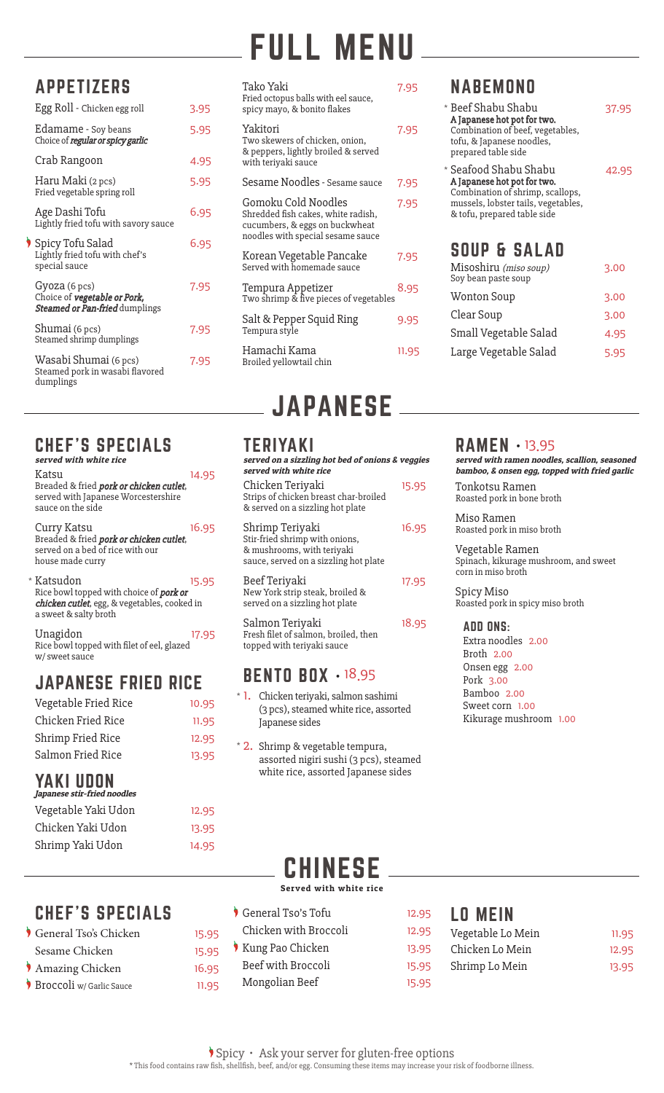# FULL MENU

### APPETIZERS

| Egg Roll - Chicken egg roll                                                                           | 3.95 |
|-------------------------------------------------------------------------------------------------------|------|
| Edamame - Soy beans<br>Choice of regular or spicy garlic                                              | 5.95 |
| Crab Rangoon                                                                                          | 4.95 |
| Haru Maki (2 pcs)<br>Fried vegetable spring roll                                                      | 5.95 |
| Age Dashi Tofu<br>Lightly fried tofu with savory sauce                                                | 6.95 |
| Spicy Tofu Salad<br>Lightly fried tofu with chef's<br>special sauce                                   | 6.95 |
| Gyoza (6 pcs)<br>Choice of <b>vegetable or Pork</b> ,<br><b><i>Steamed or Pan-fried</i></b> dumplings | 7.95 |
| Shumai (6 pcs)<br>Steamed shrimp dumplings                                                            | 7.95 |
| Wasabi Shumai (6 pcs)<br>Steamed pork in wasabi flavored<br>dumplings                                 | 7.95 |
|                                                                                                       |      |

| Tako Yaki<br>Fried octopus balls with eel sauce,<br>spicy mayo, & bonito flakes                                                  | 7.95  |
|----------------------------------------------------------------------------------------------------------------------------------|-------|
| Yakitori<br>Two skewers of chicken, onion,<br>& peppers, lightly broiled & served<br>with teriyaki sauce                         | 7.95  |
| Sesame Noodles - Sesame sauce                                                                                                    | 7.95  |
| Gomoku Cold Noodles<br>Shredded fish cakes, white radish,<br>cucumbers, & eggs on buckwheat<br>noodles with special sesame sauce | 7.95  |
| Korean Vegetable Pancake<br>Served with homemade sauce                                                                           | 7.95  |
| Tempura Appetizer<br>Two shrimp & five pieces of vegetables                                                                      | 8.95  |
| Salt & Pepper Squid Ring<br>Tempura style                                                                                        | 9.95  |
| Hamachi Kama<br>Broiled yellowtail chin                                                                                          | 11.95 |

# JAPANESE

#### TERIYAKI

| Chicken Teriyaki<br>Strips of chicken breast char-broiled<br>& served on a sizzling hot plate<br>Shrimp Teriyaki<br>Stir-fried shrimp with onions,<br>& mushrooms, with teriyaki<br>sauce, served on a sizzling hot plate<br>Beef Teriyaki<br>New York strip steak, broiled &<br>served on a sizzling hot plate<br>Salmon Teriyaki<br>Fresh filet of salmon, broiled, then | served on a sizzling hot bed of onions & veggies<br>served with white rice |       |
|----------------------------------------------------------------------------------------------------------------------------------------------------------------------------------------------------------------------------------------------------------------------------------------------------------------------------------------------------------------------------|----------------------------------------------------------------------------|-------|
|                                                                                                                                                                                                                                                                                                                                                                            |                                                                            | 15.95 |
|                                                                                                                                                                                                                                                                                                                                                                            |                                                                            | 16.95 |
|                                                                                                                                                                                                                                                                                                                                                                            |                                                                            | 17.95 |
|                                                                                                                                                                                                                                                                                                                                                                            | topped with teriyaki sauce                                                 | 18.95 |

#### **BENTO BOX · 18.95**

- \* 1. Chicken teriyaki, salmon sashimi (3 pcs), steamed white rice, assorted Japanese sides
- \* 2. Shrimp & vegetable tempura, assorted nigiri sushi (3 pcs), steamed white rice, assorted Japanese sides

#### **RAMEN · 13.95**

SOUP & SALAD

Soy bean paste soup

**NABEMONO** 

A Japanese hot pot for two. Combination of beef, vegetables, tofu, & Japanese noodles, prepared table side

A Japanese hot pot for two. Combination of shrimp, scallops, mussels, lobster tails, vegetables, & tofu, prepared table side

Misoshiru (miso soup) 3.00

\* Beef Shabu Shabu 37.95

\* Seafood Shabu Shabu 42.95

Wonton Soup 3.00 Clear Soup 3.00 Small Vegetable Salad 4.95 Large Vegetable Salad 5.95

 served with ramen noodles, scallion, seasoned bamboo, & onsen egg, topped with fried garlic

 Tonkotsu Ramen Roasted pork in bone broth

 Miso Ramen Roasted pork in miso broth

Vegetable Ramen<br>Spinach, kikurage mushroom, and sweet corn in miso broth

 Spicy Miso Roasted pork in spicy miso broth

#### ADD ONS:

 Extra noodles 2.00 Broth 2.00 Onsen egg 2.00 Pork 3.00 Bamboo 2.00 Sweet corn 1.00 Kikurage mushroom 1.00

#### CHEF'S SPECIALS d with white rice

| Katsu<br>Breaded & fried <b>pork or chicken cutlet</b> ,<br>served with Japanese Worcestershire<br>sauce on the side                          | 14.95 |
|-----------------------------------------------------------------------------------------------------------------------------------------------|-------|
| Curry Katsu<br>Breaded & fried <i>pork or chicken cutlet</i> ,<br>served on a bed of rice with our<br>house made curry                        | 16.95 |
| * Katsudon<br>Rice bowl topped with choice of <b>pork or</b><br><i>chicken cutlet</i> , egg, & vegetables, cooked in<br>a sweet & salty broth | 15.95 |
| Unagidon<br>Rice bowl topped with filet of eel, glazed<br>w/sweet sauce                                                                       | 17.95 |

## JAPANESE FRIED RICE

| Vegetable Fried Rice |  | 10.95 |
|----------------------|--|-------|
| Chicken Fried Rice   |  | 11.95 |
| Shrimp Fried Rice    |  | 12.95 |
| Salmon Fried Rice    |  | 13.95 |
|                      |  |       |

#### YAKI UDON Japanese stir-fried noodles

| Vegetable Yaki Udon | 12.95 |
|---------------------|-------|
| Chicken Yaki Udon   | 13.95 |
| Shrimp Yaki Udon    | 14.95 |
|                     |       |

#### CHINESE Served with white rice

General Tso's Tofu 12.95 Chicken with Broccoli 12.95 Kung Pao Chicken 13.9 Beef with Broccoli 15.95 Mongolian Beef 15.95

16.95

### LO MEIN

| 5  | Vegetable Lo Mein | 11.95 |
|----|-------------------|-------|
| 5. | Chicken Lo Mein   | 12.95 |
| 5. | Shrimp Lo Mein    | 13.95 |
|    |                   |       |

CHEF'S SPECIALS General Tso's Chicken 15.95 Sesame Chicken 15.95

| Sesame Chicken           |
|--------------------------|
| Amazing Chicken          |
| $\lambda$ m 1. $\lambda$ |

**Broccoli** w/ Garlic Sauce 11.95

#### Spicy • Ask your server for gluten-free options \* This food contains raw fish, shellfish, beef, and/or egg. Consuming these items may increase your risk of foodborne illness.